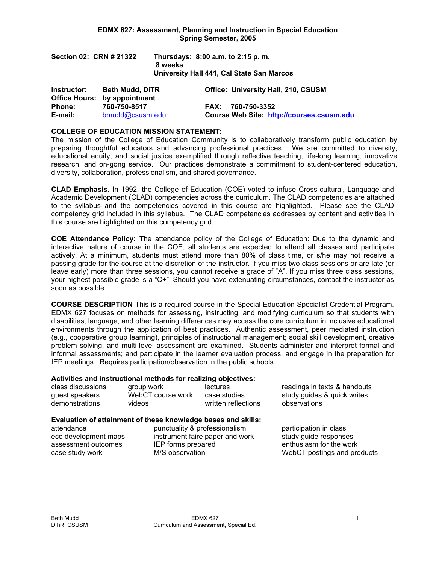| Section 02: CRN # 21322 | Thursdays: 8:00 a.m. to 2:15 p.m.<br>8 weeks<br>University Hall 441, Cal State San Marcos |
|-------------------------|-------------------------------------------------------------------------------------------|
|                         |                                                                                           |

| Instructor:   | <b>Beth Mudd, DiTR</b><br><b>Office Hours: by appointment</b> | <b>Office: University Hall, 210, CSUSM</b>       |
|---------------|---------------------------------------------------------------|--------------------------------------------------|
| <b>Phone:</b> | 760-750-8517                                                  | FAX: 760-750-3352                                |
| E-mail:       | bmudd@csusm.edu                                               | <b>Course Web Site: http://courses.csusm.edu</b> |

#### **COLLEGE OF EDUCATION MISSION STATEMENT:**

The mission of the College of Education Community is to collaboratively transform public education by preparing thoughtful educators and advancing professional practices. We are committed to diversity, educational equity, and social justice exemplified through reflective teaching, life-long learning, innovative research, and on-gong service. Our practices demonstrate a commitment to student-centered education, diversity, collaboration, professionalism, and shared governance.

**CLAD Emphasis***.* In 1992, the College of Education (COE) voted to infuse Cross-cultural, Language and Academic Development (CLAD) competencies across the curriculum. The CLAD competencies are attached to the syllabus and the competencies covered in this course are highlighted. Please see the CLAD competency grid included in this syllabus. The CLAD competencies addresses by content and activities in this course are highlighted on this competency grid.

**COE Attendance Policy:** The attendance policy of the College of Education: Due to the dynamic and interactive nature of course in the COE, all students are expected to attend all classes and participate actively. At a minimum, students must attend more than 80% of class time, or s/he may not receive a passing grade for the course at the discretion of the instructor. If you miss two class sessions or are late (or leave early) more than three sessions, you cannot receive a grade of "A". If you miss three class sessions, your highest possible grade is a "C+". Should you have extenuating circumstances, contact the instructor as soon as possible.

**COURSE DESCRIPTION** This is a required course in the Special Education Specialist Credential Program. EDMX 627 focuses on methods for assessing, instructing, and modifying curriculum so that students with disabilities, language, and other learning differences may access the core curriculum in inclusive educational environments through the application of best practices. Authentic assessment, peer mediated instruction (e.g., cooperative group learning), principles of instructional management; social skill development, creative problem solving, and multi-level assessment are examined. Students administer and interpret formal and informal assessments; and participate in the learner evaluation process, and engage in the preparation for IEP meetings. Requires participation/observation in the public schools.

#### **Activities and instructional methods for realizing objectives:**

| class discussions | group work        | lectures            | readings in texts & handouts |
|-------------------|-------------------|---------------------|------------------------------|
| guest speakers    | WebCT course work | case studies        | study guides & quick writes  |
| demonstrations    | videos            | written reflections | observations                 |

# **Evaluation of attainment of these knowledge bases and skills:**

punctuality & professionalism participation in class eco development maps instrument faire paper and work study quide responses assessment outcomes IEP forms prepared enthusiasm for the work case study work **M/S** observation WebCT postings and products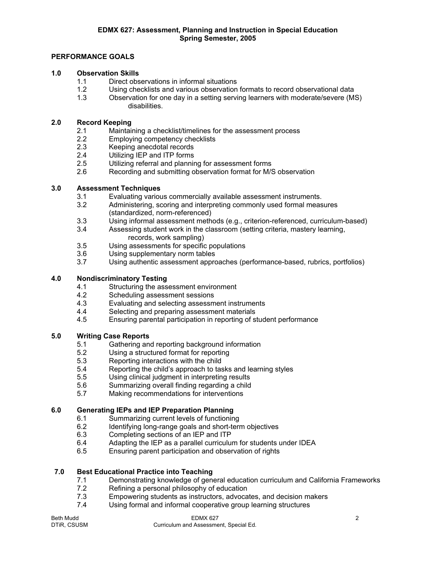# **PERFORMANCE GOALS**

# **1.0 Observation Skills**

- 1.1 Direct observations in informal situations
- 1.2 Using checklists and various observation formats to record observational data
- 1.3 Observation for one day in a setting serving learners with moderate/severe (MS) disabilities.

## **2.0 Record Keeping**

- 2.1 Maintaining a checklist/timelines for the assessment process
- 2.2 Employing competency checklists
- 2.3 Keeping anecdotal records
- 2.4 Utilizing IEP and ITP forms
- 2.5 Utilizing referral and planning for assessment forms
- 2.6 Recording and submitting observation format for M/S observation

# **3.0 Assessment Techniques**

- 3.1 Evaluating various commercially available assessment instruments.
- 3.2 Administering, scoring and interpreting commonly used formal measures (standardized, norm-referenced)
- 3.3 Using informal assessment methods (e.g., criterion-referenced, curriculum-based)
- 3.4 Assessing student work in the classroom (setting criteria, mastery learning, records, work sampling)
- 3.5 Using assessments for specific populations
- 3.6 Using supplementary norm tables
- 3.7 Using authentic assessment approaches (performance-based, rubrics, portfolios)

# **4.0 Nondiscriminatory Testing**

- 4.1 Structuring the assessment environment
- 4.2 Scheduling assessment sessions
- 4.3 Evaluating and selecting assessment instruments<br>4.4 Selecting and preparing assessment materials
- Selecting and preparing assessment materials
- 4.5 Ensuring parental participation in reporting of student performance

# **5.0 Writing Case Reports**

- 5.1 Gathering and reporting background information<br>5.2 Using a structured format for reporting
- 5.2 Using a structured format for reporting<br>5.3 Reporting interactions with the child
- Reporting interactions with the child
- 5.4 Reporting the child's approach to tasks and learning styles
- 5.5 Using clinical judgment in interpreting results
- 5.6 Summarizing overall finding regarding a child
- 5.7 Making recommendations for interventions

# **6.0 Generating IEPs and IEP Preparation Planning**

- 6.1 Summarizing current levels of functioning
- 6.2 Identifying long-range goals and short-term objectives
- 6.3 Completing sections of an IEP and ITP
- 6.4 Adapting the IEP as a parallel curriculum for students under IDEA
- 6.5 Ensuring parent participation and observation of rights

#### **7.0 Best Educational Practice into Teaching**

- 7.1 Demonstrating knowledge of general education curriculum and California Frameworks<br>7.2 Refining a personal philosophy of education
- Refining a personal philosophy of education
- 7.3 Empowering students as instructors, advocates, and decision makers
- 7.4 Using formal and informal cooperative group learning structures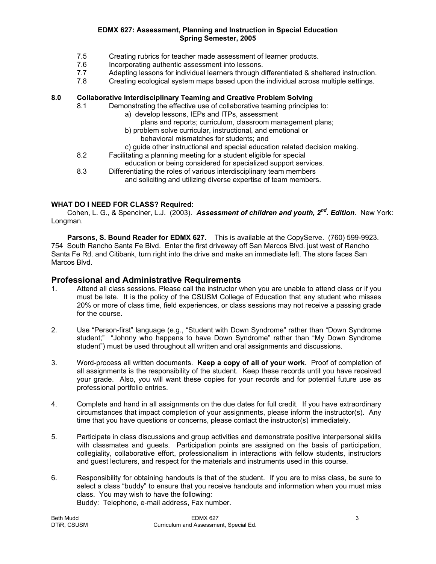- 7.5 Creating rubrics for teacher made assessment of learner products.
- 7.6 Incorporating authentic assessment into lessons.
- 7.7 Adapting lessons for individual learners through differentiated & sheltered instruction.
- 7.8 Creating ecological system maps based upon the individual across multiple settings.

# **8.0 Collaborative Interdisciplinary Teaming and Creative Problem Solving**

- 8.1 Demonstrating the effective use of collaborative teaming principles to:
	- a) develop lessons, IEPs and ITPs, assessment
		- plans and reports; curriculum, classroom management plans;
	- b) problem solve curricular, instructional, and emotional or
		- behavioral mismatches for students; and
	- c) guide other instructional and special education related decision making.
- 8.2 Facilitating a planning meeting for a student eligible for special education or being considered for specialized support services.
- 8.3 Differentiating the roles of various interdisciplinary team members and soliciting and utilizing diverse expertise of team members.

## **WHAT DO I NEED FOR CLASS? Required:**

 Cohen, L. G., & Spenciner, L.J. (2003). *Assessment of children and youth, 2nd. Edition*. New York: Longman.

**Parsons, S. Bound Reader for EDMX 627.** This is available at the CopyServe. (760) 599-9923. 754 South Rancho Santa Fe Blvd. Enter the first driveway off San Marcos Blvd. just west of Rancho Santa Fe Rd. and Citibank, turn right into the drive and make an immediate left. The store faces San Marcos Blvd.

# **Professional and Administrative Requirements**

- 1. Attend all class sessions. Please call the instructor when you are unable to attend class or if you must be late. It is the policy of the CSUSM College of Education that any student who misses 20% or more of class time, field experiences, or class sessions may not receive a passing grade for the course.
- 2. Use "Person-first" language (e.g., "Student with Down Syndrome" rather than "Down Syndrome student;" "Johnny who happens to have Down Syndrome" rather than "My Down Syndrome student") must be used throughout all written and oral assignments and discussions.
- 3. Word-process all written documents. **Keep a copy of all of your work**. Proof of completion of all assignments is the responsibility of the student. Keep these records until you have received your grade. Also, you will want these copies for your records and for potential future use as professional portfolio entries.
- 4. Complete and hand in all assignments on the due dates for full credit. If you have extraordinary circumstances that impact completion of your assignments, please inform the instructor(s). Any time that you have questions or concerns, please contact the instructor(s) immediately.
- 5. Participate in class discussions and group activities and demonstrate positive interpersonal skills with classmates and guests. Participation points are assigned on the basis of participation, collegiality, collaborative effort, professionalism in interactions with fellow students, instructors and guest lecturers, and respect for the materials and instruments used in this course.
- 6. Responsibility for obtaining handouts is that of the student. If you are to miss class, be sure to select a class "buddy" to ensure that you receive handouts and information when you must miss class. You may wish to have the following: Buddy: Telephone, e-mail address, Fax number.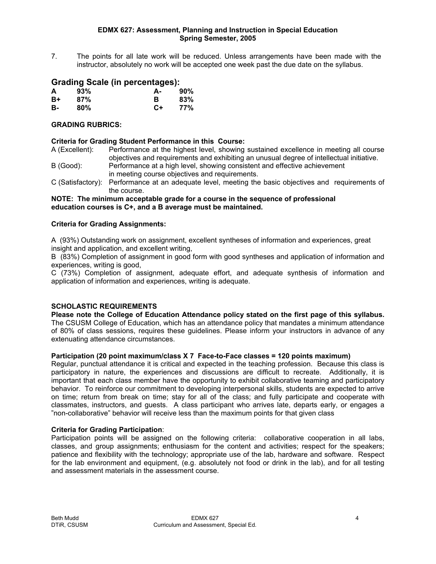7. The points for all late work will be reduced. Unless arrangements have been made with the instructor, absolutely no work will be accepted one week past the due date on the syllabus.

# **Grading Scale (in percentages):**

| A    | 93% | А-   | 90% |
|------|-----|------|-----|
| $B+$ | 87% | в    | 83% |
| в-   | 80% | $C+$ | 77% |

## **GRADING RUBRICS:**

## **Criteria for Grading Student Performance in this Course:**

- A (Excellent): Performance at the highest level, showing sustained excellence in meeting all course objectives and requirements and exhibiting an unusual degree of intellectual initiative.
- B (Good): Performance at a high level, showing consistent and effective achievement in meeting course objectives and requirements.
- C (Satisfactory): Performance at an adequate level, meeting the basic objectives and requirements of the course.

#### **NOTE: The minimum acceptable grade for a course in the sequence of professional education courses is C+, and a B average must be maintained.**

## **Criteria for Grading Assignments:**

A (93%) Outstanding work on assignment, excellent syntheses of information and experiences, great insight and application, and excellent writing,

B (83%) Completion of assignment in good form with good syntheses and application of information and experiences, writing is good,

C (73%) Completion of assignment, adequate effort, and adequate synthesis of information and application of information and experiences, writing is adequate.

# **SCHOLASTIC REQUIREMENTS**

**Please note the College of Education Attendance policy stated on the first page of this syllabus.**  The CSUSM College of Education, which has an attendance policy that mandates a minimum attendance of 80% of class sessions, requires these guidelines. Please inform your instructors in advance of any extenuating attendance circumstances.

#### **Participation (20 point maximum/class X 7 Face-to-Face classes = 120 points maximum)**

Regular, punctual attendance it is critical and expected in the teaching profession. Because this class is participatory in nature, the experiences and discussions are difficult to recreate. Additionally, it is important that each class member have the opportunity to exhibit collaborative teaming and participatory behavior. To reinforce our commitment to developing interpersonal skills, students are expected to arrive on time; return from break on time; stay for all of the class; and fully participate and cooperate with classmates, instructors, and guests. A class participant who arrives late, departs early, or engages a "non-collaborative" behavior will receive less than the maximum points for that given class

#### **Criteria for Grading Participation**:

Participation points will be assigned on the following criteria: collaborative cooperation in all labs, classes, and group assignments; enthusiasm for the content and activities; respect for the speakers; patience and flexibility with the technology; appropriate use of the lab, hardware and software. Respect for the lab environment and equipment, (e.g. absolutely not food or drink in the lab), and for all testing and assessment materials in the assessment course.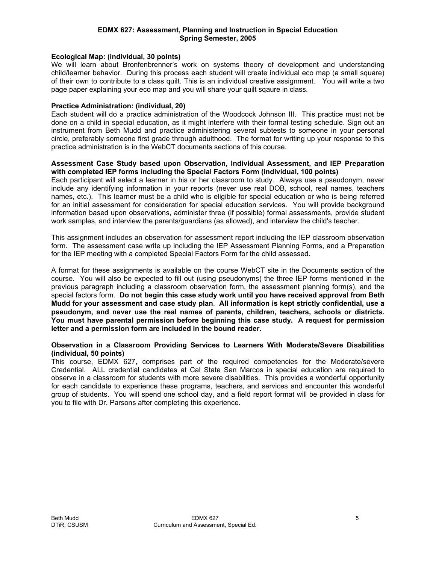#### **Ecological Map: (individual, 30 points)**

We will learn about Bronfenbrenner's work on systems theory of development and understanding child/learner behavior. During this process each student will create individual eco map (a small square) of their own to contribute to a class quilt. This is an individual creative assignment. You will write a two page paper explaining your eco map and you will share your quilt sqaure in class.

#### **Practice Administration: (individual, 20)**

Each student will do a practice administration of the Woodcock Johnson III. This practice must not be done on a child in special education, as it might interfere with their formal testing schedule. Sign out an instrument from Beth Mudd and practice administering several subtests to someone in your personal circle, preferably someone first grade through adulthood. The format for writing up your response to this practice administration is in the WebCT documents sections of this course.

#### **Assessment Case Study based upon Observation, Individual Assessment, and IEP Preparation with completed IEP forms including the Special Factors Form (individual, 100 points)**

Each participant will select a learner in his or her classroom to study. Always use a pseudonym, never include any identifying information in your reports (never use real DOB, school, real names, teachers names, etc.). This learner must be a child who is eligible for special education or who is being referred for an initial assessment for consideration for special education services. You will provide background information based upon observations, administer three (if possible) formal assessments, provide student work samples, and interview the parents/guardians (as allowed), and interview the child's teacher.

This assignment includes an observation for assessment report including the IEP classroom observation form. The assessment case write up including the IEP Assessment Planning Forms, and a Preparation for the IEP meeting with a completed Special Factors Form for the child assessed.

A format for these assignments is available on the course WebCT site in the Documents section of the course. You will also be expected to fill out (using pseudonyms) the three IEP forms mentioned in the previous paragraph including a classroom observation form, the assessment planning form(s), and the special factors form. **Do not begin this case study work until you have received approval from Beth Mudd for your assessment and case study plan**. **All information is kept strictly confidential, use a pseudonym, and never use the real names of parents, children, teachers, schools or districts. You must have parental permission before beginning this case study. A request for permission letter and a permission form are included in the bound reader.** 

#### **Observation in a Classroom Providing Services to Learners With Moderate/Severe Disabilities (individual, 50 points)**

This course, EDMX 627, comprises part of the required competencies for the Moderate/severe Credential. ALL credential candidates at Cal State San Marcos in special education are required to observe in a classroom for students with more severe disabilities. This provides a wonderful opportunity for each candidate to experience these programs, teachers, and services and encounter this wonderful group of students. You will spend one school day, and a field report format will be provided in class for you to file with Dr. Parsons after completing this experience.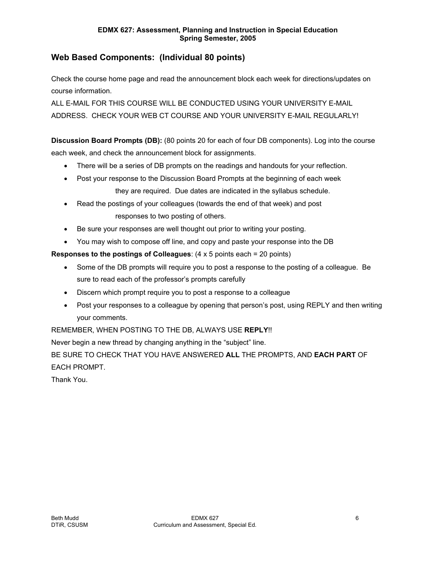# **Web Based Components: (Individual 80 points)**

Check the course home page and read the announcement block each week for directions/updates on course information.

ALL E-MAIL FOR THIS COURSE WILL BE CONDUCTED USING YOUR UNIVERSITY E-MAIL ADDRESS. CHECK YOUR WEB CT COURSE AND YOUR UNIVERSITY E-MAIL REGULARLY!

**Discussion Board Prompts (DB):** (80 points 20 for each of four DB components). Log into the course each week, and check the announcement block for assignments.

- There will be a series of DB prompts on the readings and handouts for your reflection.
- Post your response to the Discussion Board Prompts at the beginning of each week they are required. Due dates are indicated in the syllabus schedule.
- Read the postings of your colleagues (towards the end of that week) and post responses to two posting of others.
- Be sure your responses are well thought out prior to writing your posting.
- You may wish to compose off line, and copy and paste your response into the DB

**Responses to the postings of Colleagues**: (4 x 5 points each = 20 points)

- Some of the DB prompts will require you to post a response to the posting of a colleague. Be sure to read each of the professor's prompts carefully
- Discern which prompt require you to post a response to a colleague
- Post your responses to a colleague by opening that person's post, using REPLY and then writing your comments.

REMEMBER, WHEN POSTING TO THE DB, ALWAYS USE **REPLY**!!

Never begin a new thread by changing anything in the "subject" line.

BE SURE TO CHECK THAT YOU HAVE ANSWERED **ALL** THE PROMPTS, AND **EACH PART** OF EACH PROMPT.

Thank You.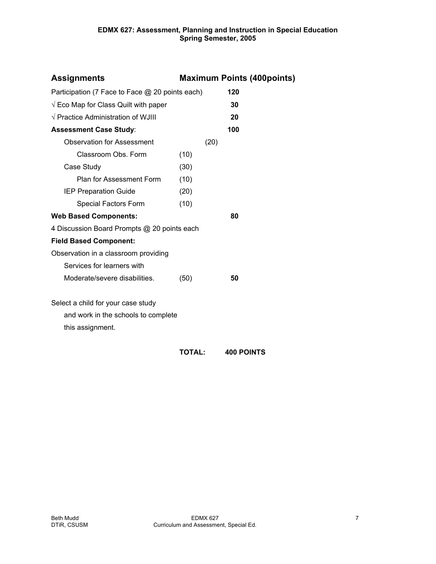| <b>Assignments</b>                              |      |      | <b>Maximum Points (400points)</b> |
|-------------------------------------------------|------|------|-----------------------------------|
| Participation (7 Face to Face @ 20 points each) |      |      | 120                               |
| $\sqrt{2}$ Eco Map for Class Quilt with paper   |      |      | 30                                |
| $\sqrt{}$ Practice Administration of WJIII      |      |      | 20                                |
| <b>Assessment Case Study:</b>                   |      |      | 100                               |
| <b>Observation for Assessment</b>               |      | (20) |                                   |
| Classroom Obs. Form                             | (10) |      |                                   |
| Case Study                                      | (30) |      |                                   |
| Plan for Assessment Form                        | (10) |      |                                   |
| <b>IEP Preparation Guide</b>                    | (20) |      |                                   |
| Special Factors Form                            | (10) |      |                                   |
| <b>Web Based Components:</b>                    |      |      | 80                                |
| 4 Discussion Board Prompts @ 20 points each     |      |      |                                   |
| <b>Field Based Component:</b>                   |      |      |                                   |
| Observation in a classroom providing            |      |      |                                   |
| Services for learners with                      |      |      |                                   |
| Moderate/severe disabilities.                   | (50) |      | 50                                |
| Select a child for your case study              |      |      |                                   |
| and work in the schools to complete             |      |      |                                   |
| this assignment.                                |      |      |                                   |
|                                                 |      |      |                                   |

# **TOTAL: 400 POINTS**